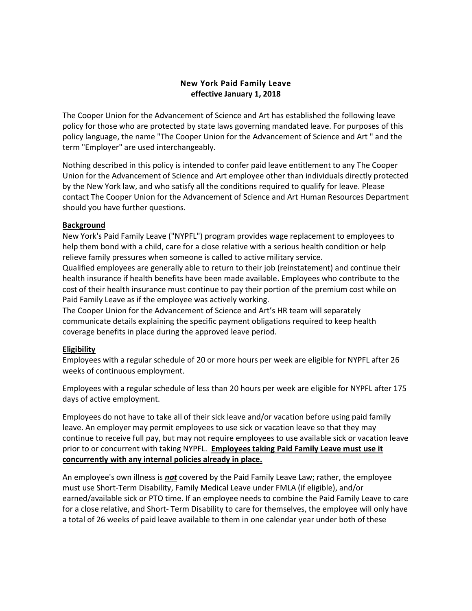# New York Paid Family Leave effective January 1, 2018

The Cooper Union for the Advancement of Science and Art has established the following leave policy for those who are protected by state laws governing mandated leave. For purposes of this policy language, the name "The Cooper Union for the Advancement of Science and Art " and the term "Employer" are used interchangeably.

Nothing described in this policy is intended to confer paid leave entitlement to any The Cooper Union for the Advancement of Science and Art employee other than individuals directly protected by the New York law, and who satisfy all the conditions required to qualify for leave. Please contact The Cooper Union for the Advancement of Science and Art Human Resources Department should you have further questions.

### Background

New York's Paid Family Leave ("NYPFL") program provides wage replacement to employees to help them bond with a child, care for a close relative with a serious health condition or help relieve family pressures when someone is called to active military service.

Qualified employees are generally able to return to their job (reinstatement) and continue their health insurance if health benefits have been made available. Employees who contribute to the cost of their health insurance must continue to pay their portion of the premium cost while on Paid Family Leave as if the employee was actively working.

The Cooper Union for the Advancement of Science and Art's HR team will separately communicate details explaining the specific payment obligations required to keep health coverage benefits in place during the approved leave period.

## Eligibility

Employees with a regular schedule of 20 or more hours per week are eligible for NYPFL after 26 weeks of continuous employment.

Employees with a regular schedule of less than 20 hours per week are eligible for NYPFL after 175 days of active employment.

Employees do not have to take all of their sick leave and/or vacation before using paid family leave. An employer may permit employees to use sick or vacation leave so that they may continue to receive full pay, but may not require employees to use available sick or vacation leave prior to or concurrent with taking NYPFL. Employees taking Paid Family Leave must use it concurrently with any internal policies already in place.

An employee's own illness is **not** covered by the Paid Family Leave Law; rather, the employee must use Short-Term Disability, Family Medical Leave under FMLA (if eligible), and/or earned/available sick or PTO time. If an employee needs to combine the Paid Family Leave to care for a close relative, and Short- Term Disability to care for themselves, the employee will only have a total of 26 weeks of paid leave available to them in one calendar year under both of these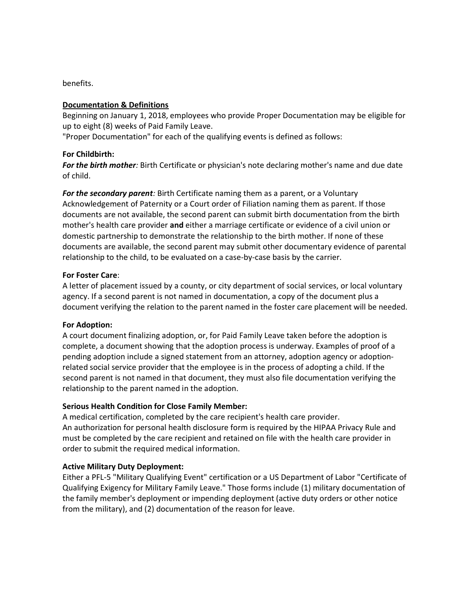benefits.

### Documentation & Definitions

Beginning on January 1, 2018, employees who provide Proper Documentation may be eligible for up to eight (8) weeks of Paid Family Leave.

"Proper Documentation" for each of the qualifying events is defined as follows:

### For Childbirth:

For the birth mother: Birth Certificate or physician's note declaring mother's name and due date of child.

For the secondary parent: Birth Certificate naming them as a parent, or a Voluntary Acknowledgement of Paternity or a Court order of Filiation naming them as parent. If those documents are not available, the second parent can submit birth documentation from the birth mother's health care provider and either a marriage certificate or evidence of a civil union or domestic partnership to demonstrate the relationship to the birth mother. If none of these documents are available, the second parent may submit other documentary evidence of parental relationship to the child, to be evaluated on a case-by-case basis by the carrier.

### For Foster Care:

A letter of placement issued by a county, or city department of social services, or local voluntary agency. If a second parent is not named in documentation, a copy of the document plus a document verifying the relation to the parent named in the foster care placement will be needed.

### For Adoption:

A court document finalizing adoption, or, for Paid Family Leave taken before the adoption is complete, a document showing that the adoption process is underway. Examples of proof of a pending adoption include a signed statement from an attorney, adoption agency or adoptionrelated social service provider that the employee is in the process of adopting a child. If the second parent is not named in that document, they must also file documentation verifying the relationship to the parent named in the adoption.

## Serious Health Condition for Close Family Member:

A medical certification, completed by the care recipient's health care provider. An authorization for personal health disclosure form is required by the HIPAA Privacy Rule and must be completed by the care recipient and retained on file with the health care provider in order to submit the required medical information.

## Active Military Duty Deployment:

Either a PFL-5 "Military Qualifying Event" certification or a US Department of Labor "Certificate of Qualifying Exigency for Military Family Leave." Those forms include (1) military documentation of the family member's deployment or impending deployment (active duty orders or other notice from the military), and (2) documentation of the reason for leave.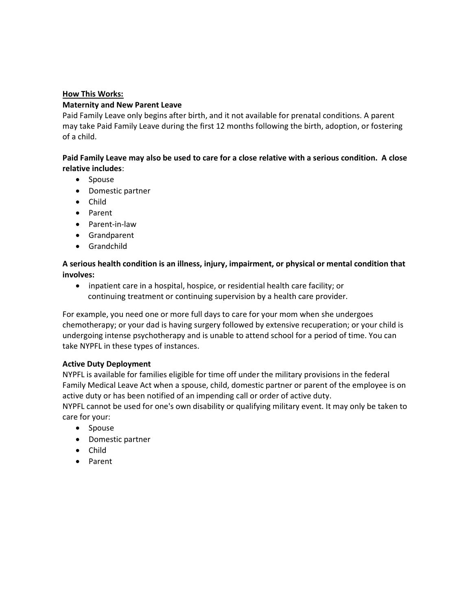### How This Works:

### Maternity and New Parent Leave

Paid Family Leave only begins after birth, and it not available for prenatal conditions. A parent may take Paid Family Leave during the first 12 months following the birth, adoption, or fostering of a child.

## Paid Family Leave may also be used to care for a close relative with a serious condition. A close relative includes:

- Spouse
- Domestic partner
- Child
- Parent
- Parent-in-law
- Grandparent
- Grandchild

# A serious health condition is an illness, injury, impairment, or physical or mental condition that involves:

 inpatient care in a hospital, hospice, or residential health care facility; or continuing treatment or continuing supervision by a health care provider.

For example, you need one or more full days to care for your mom when she undergoes chemotherapy; or your dad is having surgery followed by extensive recuperation; or your child is undergoing intense psychotherapy and is unable to attend school for a period of time. You can take NYPFL in these types of instances.

## Active Duty Deployment

NYPFL is available for families eligible for time off under the military provisions in the federal Family Medical Leave Act when a spouse, child, domestic partner or parent of the employee is on active duty or has been notified of an impending call or order of active duty.

NYPFL cannot be used for one's own disability or qualifying military event. It may only be taken to care for your:

- Spouse
- Domestic partner
- Child
- Parent